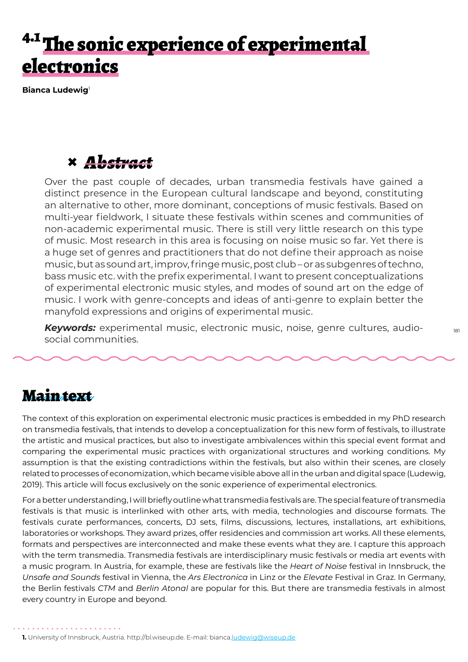# The sonic experience of experimental electronics

**Bianca Ludewig**<sup>1</sup>

# **×** *Abstract*

Over the past couple of decades, urban transmedia festivals have gained a distinct presence in the European cultural landscape and beyond, constituting an alternative to other, more dominant, conceptions of music festivals. Based on multi-year fieldwork, I situate these festivals within scenes and communities of non-academic experimental music. There is still very little research on this type of music. Most research in this area is focusing on noise music so far. Yet there is a huge set of genres and practitioners that do not define their approach as noise music, but as sound art, improv, fringe music, post club – or as subgenres of techno, bass music etc. with the prefix experimental. I want to present conceptualizations of experimental electronic music styles, and modes of sound art on the edge of music. I work with genre-concepts and ideas of anti-genre to explain better the manyfold expressions and origins of experimental music.

*Keywords:* experimental music, electronic music, noise, genre cultures, audiosocial communities.

### **Maintext**

The context of this exploration on experimental electronic music practices is embedded in my PhD research on transmedia festivals, that intends to develop a conceptualization for this new form of festivals, to illustrate the artistic and musical practices, but also to investigate ambivalences within this special event format and comparing the experimental music practices with organizational structures and working conditions. My assumption is that the existing contradictions within the festivals, but also within their scenes, are closely related to processes of economization, which became visible above all in the urban and digital space (Ludewig, 2019). This article will focus exclusively on the sonic experience of experimental electronics.

For a better understanding, I will briefly outline what transmedia festivals are. The special feature of transmedia festivals is that music is interlinked with other arts, with media, technologies and discourse formats. The festivals curate performances, concerts, DJ sets, films, discussions, lectures, installations, art exhibitions, laboratories or workshops. They award prizes, offer residencies and commission art works. All these elements, formats and perspectives are interconnected and make these events what they are. I capture this approach with the term transmedia. Transmedia festivals are interdisciplinary music festivals or media art events with a music program. In Austria, for example, these are festivals like the *Heart of Noise* festival in Innsbruck, the *Unsafe and Sounds* festival in Vienna, the *Ars Electronica* in Linz or the *Elevate* Festival in Graz. In Germany, the Berlin festivals *CTM* and *Berlin Atonal* are popular for this. But there are transmedia festivals in almost every country in Europe and beyond.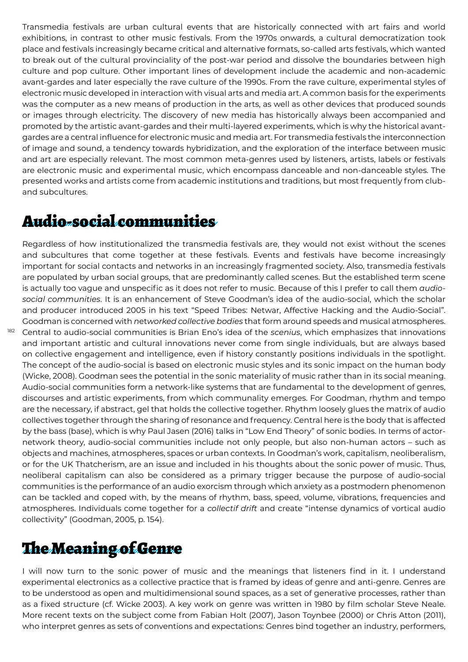Transmedia festivals are urban cultural events that are historically connected with art fairs and world exhibitions, in contrast to other music festivals. From the 1970s onwards, a cultural democratization took place and festivals increasingly became critical and alternative formats, so-called arts festivals, which wanted to break out of the cultural provinciality of the post-war period and dissolve the boundaries between high culture and pop culture. Other important lines of development include the academic and non-academic avant-gardes and later especially the rave culture of the 1990s. From the rave culture, experimental styles of electronic music developed in interaction with visual arts and media art. A common basis for the experiments was the computer as a new means of production in the arts, as well as other devices that produced sounds or images through electricity. The discovery of new media has historically always been accompanied and promoted by the artistic avant-gardes and their multi-layered experiments, which is why the historical avantgardes are a central influence for electronic music and media art. For transmedia festivals the interconnection of image and sound, a tendency towards hybridization, and the exploration of the interface between music and art are especially relevant. The most common meta-genres used by listeners, artists, labels or festivals are electronic music and experimental music, which encompass danceable and non-danceable styles. The presented works and artists come from academic institutions and traditions, but most frequently from cluband subcultures.

# Audio-social communities

182

Regardless of how institutionalized the transmedia festivals are, they would not exist without the scenes and subcultures that come together at these festivals. Events and festivals have become increasingly important for social contacts and networks in an increasingly fragmented society. Also, transmedia festivals are populated by urban social groups, that are predominantly called scenes. But the established term scene is actually too vague and unspecific as it does not refer to music. Because of this I prefer to call them *audiosocial communities*. It is an enhancement of Steve Goodman's idea of the audio-social, which the scholar and producer introduced 2005 in his text "Speed Tribes: Netwar, Affective Hacking and the Audio-Social". Goodman is concerned with *n*et*worked collective bodies* that form around speeds and musical atmospheres. Central to audio-social communities is Brian Eno's idea of the *scenius*, which emphasizes that innovations and important artistic and cultural innovations never come from single individuals, but are always based on collective engagement and intelligence, even if history constantly positions individuals in the spotlight. The concept of the audio-social is based on electronic music styles and its sonic impact on the human body (Wicke, 2008). Goodman sees the potential in the sonic materiality of music rather than in its social meaning. Audio-social communities form a network-like systems that are fundamental to the development of genres, discourses and artistic experiments, from which communality emerges. For Goodman, rhythm and tempo are the necessary, if abstract, gel that holds the collective together. Rhythm loosely glues the matrix of audio collectives together through the sharing of resonance and frequency. Central here is the body that is affected by the bass (base), which is why Paul Jasen (2016) talks in "Low End Theory" of sonic bodies. In terms of actornetwork theory, audio-social communities include not only people, but also non-human actors – such as objects and machines, atmospheres, spaces or urban contexts. In Goodman's work, capitalism, neoliberalism, or for the UK Thatcherism, are an issue and included in his thoughts about the sonic power of music. Thus, neoliberal capitalism can also be considered as a primary trigger because the purpose of audio-social communities is the performance of an audio exorcism through which anxiety as a postmodern phenomenon can be tackled and coped with, by the means of rhythm, bass, speed, volume, vibrations, frequencies and atmospheres. Individuals come together for a *collectif drift* and create "intense dynamics of vortical audio collectivity" (Goodman, 2005, p. 154).

# The Meaning of Genre

I will now turn to the sonic power of music and the meanings that listeners find in it. I understand experimental electronics as a collective practice that is framed by ideas of genre and anti-genre. Genres are to be understood as open and multidimensional sound spaces, as a set of generative processes, rather than as a fixed structure (cf. Wicke 2003). A key work on genre was written in 1980 by film scholar Steve Neale. More recent texts on the subject come from Fabian Holt (2007), Jason Toynbee (2000) or Chris Atton (2011), who interpret genres as sets of conventions and expectations: Genres bind together an industry, performers,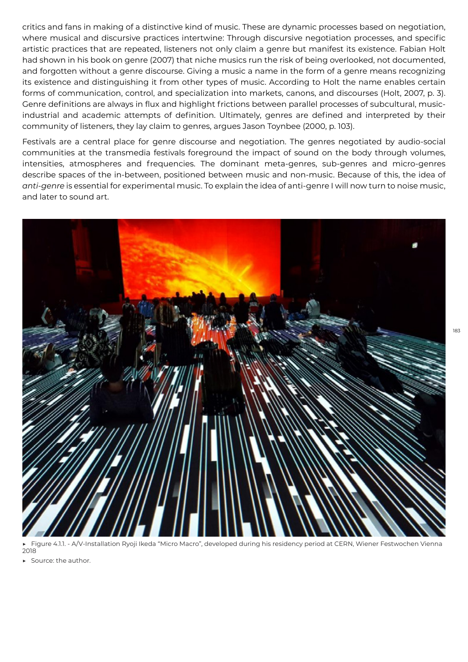critics and fans in making of a distinctive kind of music. These are dynamic processes based on negotiation, where musical and discursive practices intertwine: Through discursive negotiation processes, and specific artistic practices that are repeated, listeners not only claim a genre but manifest its existence. Fabian Holt had shown in his book on genre (2007) that niche musics run the risk of being overlooked, not documented, and forgotten without a genre discourse. Giving a music a name in the form of a genre means recognizing its existence and distinguishing it from other types of music. According to Holt the name enables certain forms of communication, control, and specialization into markets, canons, and discourses (Holt, 2007, p. 3). Genre definitions are always in flux and highlight frictions between parallel processes of subcultural, musicindustrial and academic attempts of definition. Ultimately, genres are defined and interpreted by their community of listeners, they lay claim to genres, argues Jason Toynbee (2000, p. 103).

Festivals are a central place for genre discourse and negotiation. The genres negotiated by audio-social communities at the transmedia festivals foreground the impact of sound on the body through volumes, intensities, atmospheres and frequencies. The dominant meta-genres, sub-genres and micro-genres describe spaces of the in-between, positioned between music and non-music. Because of this, the idea of *anti-genre* is essential for experimental music. To explain the idea of anti-genre I will now turn to noise music, and later to sound art.



Figure 4.1.1. - A/V-Installation Ryoji Ikeda "Micro Macro", developed during his residency period at CERN, Wiener Festwochen Vienna 2018

Source: the author.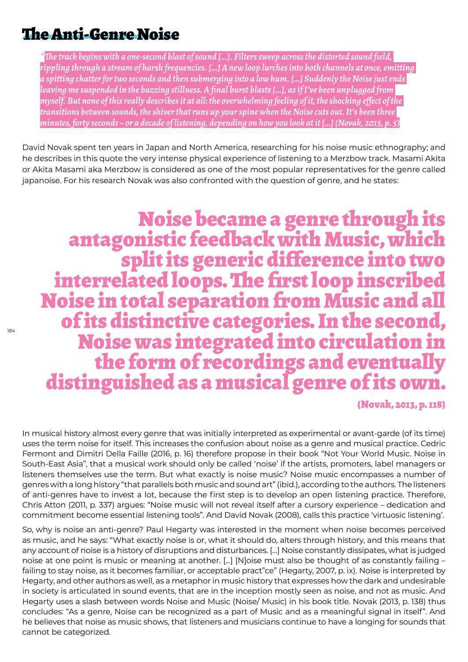### The Anti-Genre Noise

*\*The track begins with a one-second blast of sound […]. Filters sweep across the distorted sound field, rippling through a stream of harsh frequencies. […] A new loop lurches into both channels at once, emitting a spitting chatter for two seconds and then submerging into a low hum. […] Suddenly the Noise just ends leaving me suspended in the buzzing stillness. A final burst blasts […], as if I've been unplugged from myself. But none of this really describes it at all: the overwhelming feeling of it, the shocking effect of the transitions between sounds, the shiver that runs up your spine when the Noise cuts out. It's been three minutes, forty seconds – or a decade of listening, depending on how you look at it […] (Novak, 2013, p. 5)*

David Novak spent ten years in Japan and North America, researching for his noise music ethnography; and he describes in this quote the very intense physical experience of listening to a Merzbow track. Masami Akita or Akita Masami aka Merzbow is considered as one of the most popular representatives for the genre called japanoise. For his research Novak was also confronted with the question of genre, and he states:

Noise became a genre through its<br>antagonistic feedback with Music, which<br>split its generic difference into two<br>interrelated loops. The first loop inscribed Noise in total separation from Music and all of its distinctive categories. In the second, Noise was integrated into circulation in distinguished as a musical genre of its own.

(Novak, 2013, p. 118)

In musical history almost every genre that was initially interpreted as experimental or avant-garde (of its time) uses the term noise for itself. This increases the confusion about noise as a genre and musical practice. Cedric Fermont and Dimitri Della Faille (2016, p. 16) therefore propose in their book "Not Your World Music. Noise in South-East Asia", that a musical work should only be called 'noise' if the artists, promoters, label managers or listeners themselves use the term. But what exactly is noise music? Noise music encompasses a number of genres with a long history "that parallels both music and sound art" (ibid.), according to the authors. The listeners of anti-genres have to invest a lot, because the first step is to develop an open listening practice. Therefore, Chris Atton (2011, p. 337) argues: "Noise music will not reveal itself after a cursory experience – dedication and commitment become essential listening tools". And David Novak (2008), calls this practice 'virtuosic listening'.

So, why is noise an anti-genre? Paul Hegarty was interested in the moment when noise becomes perceived as music, and he says: "What exactly noise is or, what it should do, alters through history, and this means that any account of noise is a history of disruptions and disturbances. […] Noise constantly dissipates, what is judged noise at one point is music or meaning at another. [...] [N]oise must also be thought of as constantly failing – failing to stay noise, as it becomes familiar, or acceptable pract"ce" (Hegarty, 2007, p. ix). Noise is interpreted by Hegarty, and other authors as well, as a metaphor in music history that expresses how the dark and undesirable in society is articulated in sound events, that are in the inception mostly seen as noise, and not as music. And Hegarty uses a slash between words Noise and Music (Noise/ Music) in his book title. Novak (2013, p. 138) thus concludes: "As a genre, Noise can be recognized as a part of Music and as a meaningful signal in itself". And he believes that noise as music shows, that listeners and musicians continue to have a longing for sounds that cannot be categorized.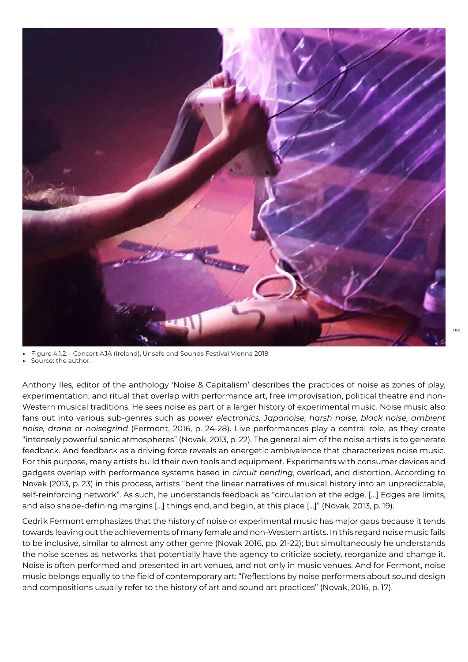

Figure 4.1.2. - Concert AJA (Ireland), Unsafe and Sounds Festival Vienna 2018

Source: the author.

Anthony Iles, editor of the anthology 'Noise & Capitalism' describes the practices of noise as zones of play, experimentation, and ritual that overlap with performance art, free improvisation, political theatre and non-Western musical traditions. He sees noise as part of a larger history of experimental music. Noise music also fans out into various sub-genres such as *power electronics, Japanoise, harsh noise, black noise, ambient noise, drone* or *noisegrind* (Fermont, 2016, p. 24-28). Live performances play a central role, as they create "intensely powerful sonic atmospheres" (Novak, 2013, p. 22). The general aim of the noise artists is to generate feedback. And feedback as a driving force reveals an energetic ambivalence that characterizes noise music. For this purpose, many artists build their own tools and equipment. Experiments with consumer devices and gadgets overlap with performance systems based in *circuit bending*, overload, and distortion. According to Novak (2013, p. 23) in this process, artists "bent the linear narratives of musical history into an unpredictable, self-reinforcing network". As such, he understands feedback as "circulation at the edge. [...] Edges are limits, and also shape-defining margins [...] things end, and begin, at this place [...]" (Novak, 2013, p. 19).

Cedrik Fermont emphasizes that the history of noise or experimental music has major gaps because it tends towards leaving out the achievements of many female and non-Western artists. In this regard noise music fails to be inclusive, similar to almost any other genre (Novak 2016, pp. 21-22); but simultaneously he understands the noise scenes as networks that potentially have the agency to criticize society, reorganize and change it. Noise is often performed and presented in art venues, and not only in music venues. And for Fermont, noise music belongs equally to the field of contemporary art: "Reflections by noise performers about sound design and compositions usually refer to the history of art and sound art practices" (Novak, 2016, p. 17).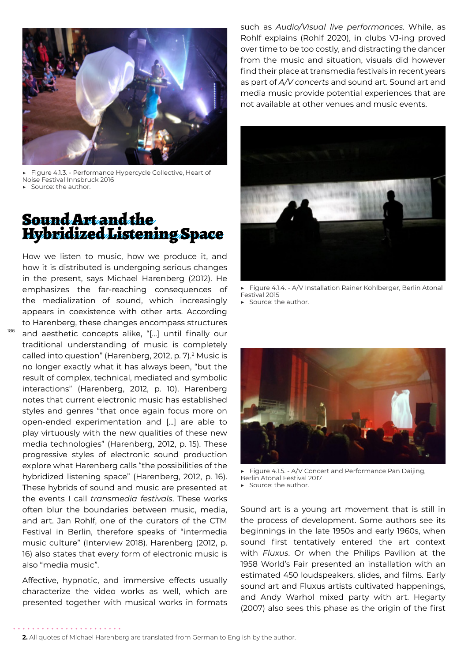

Figure 4.1.3. - Performance Hypercycle Collective, Heart of Noise Festival Innsbruck 2016 Source: the author.

### Sound Art and the Hybridized Listening Space

How we listen to music, how we produce it, and how it is distributed is undergoing serious changes in the present, says Michael Harenberg (2012). He emphasizes the far-reaching consequences of the medialization of sound, which increasingly appears in coexistence with other arts. According to Harenberg, these changes encompass structures and aesthetic concepts alike, "[...] until finally our traditional understanding of music is completely called into question" (Harenberg, 2012, p. 7).<sup>2</sup> Music is no longer exactly what it has always been, "but the result of complex, technical, mediated and symbolic interactions" (Harenberg, 2012, p. 10). Harenberg notes that current electronic music has established styles and genres "that once again focus more on open-ended experimentation and [...] are able to play virtuously with the new qualities of these new media technologies" (Harenberg, 2012, p. 15). These progressive styles of electronic sound production explore what Harenberg calls "the possibilities of the hybridized listening space" (Harenberg, 2012, p. 16). These hybrids of sound and music are presented at the events I call *transmedia festivals*. These works often blur the boundaries between music, media, and art. Jan Rohlf, one of the curators of the CTM Festival in Berlin, therefore speaks of "intermedia music culture" (Interview 2018). Harenberg (2012, p. 16) also states that every form of electronic music is also "media music".

186

Affective, hypnotic, and immersive effects usually characterize the video works as well, which are presented together with musical works in formats

. . . . . . . . . . . . . . . . . .

such as *Audio/Visual live performances*. While, as Rohlf explains (Rohlf 2020), in clubs VJ-ing proved over time to be too costly, and distracting the dancer from the music and situation, visuals did however find their place at transmedia festivals in recent years as part of *A/V concerts* and sound art. Sound art and media music provide potential experiences that are not available at other venues and music events.



▶ Figure 4.1.4. - A/V Installation Rainer Kohlberger, Berlin Atonal Festival 2015

▶ Source: the author.



▶ Figure 4.1.5. - A/V Concert and Performance Pan Daijing, Berlin Atonal Festival 2017 ▶ Source: the author.

Sound art is a young art movement that is still in the process of development. Some authors see its beginnings in the late 1950s and early 1960s, when sound first tentatively entered the art context with *Fluxus*. Or when the Philips Pavilion at the 1958 World's Fair presented an installation with an estimated 450 loudspeakers, slides, and films. Early sound art and Fluxus artists cultivated happenings, and Andy Warhol mixed party with art. Hegarty (2007) also sees this phase as the origin of the first

#### **2.** All quotes of Michael Harenberg are translated from German to English by the author.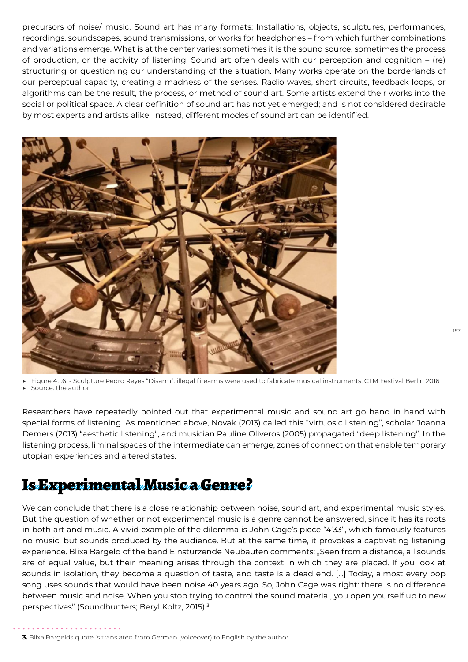precursors of noise/ music. Sound art has many formats: Installations, objects, sculptures, performances, recordings, soundscapes, sound transmissions, or works for headphones – from which further combinations and variations emerge. What is at the center varies: sometimes it is the sound source, sometimes the process of production, or the activity of listening. Sound art often deals with our perception and cognition – (re) structuring or questioning our understanding of the situation. Many works operate on the borderlands of our perceptual capacity, creating a madness of the senses. Radio waves, short circuits, feedback loops, or algorithms can be the result, the process, or method of sound art. Some artists extend their works into the social or political space. A clear definition of sound art has not yet emerged; and is not considered desirable by most experts and artists alike. Instead, different modes of sound art can be identified.



▶ Figure 4.1.6. - Sculpture Pedro Reyes "Disarm": illegal firearms were used to fabricate musical instruments, CTM Festival Berlin 2016

Source: the author.

Researchers have repeatedly pointed out that experimental music and sound art go hand in hand with special forms of listening. As mentioned above, Novak (2013) called this "virtuosic listening", scholar Joanna Demers (2013) "aesthetic listening", and musician Pauline Oliveros (2005) propagated "deep listening". In the listening process, liminal spaces of the intermediate can emerge, zones of connection that enable temporary utopian experiences and altered states.

# Is Experimental Music a Genre?

We can conclude that there is a close relationship between noise, sound art, and experimental music styles. But the question of whether or not experimental music is a genre cannot be answered, since it has its roots in both art and music. A vivid example of the dilemma is John Cage's piece "4'33", which famously features no music, but sounds produced by the audience. But at the same time, it provokes a captivating listening experience. Blixa Bargeld of the band Einstürzende Neubauten comments: "Seen from a distance, all sounds are of equal value, but their meaning arises through the context in which they are placed. If you look at sounds in isolation, they become a question of taste, and taste is a dead end. [...] Today, almost every pop song uses sounds that would have been noise 40 years ago. So, John Cage was right: there is no difference between music and noise. When you stop trying to control the sound material, you open yourself up to new perspectives" (Soundhunters; Beryl Koltz, 2015).<sup>3</sup>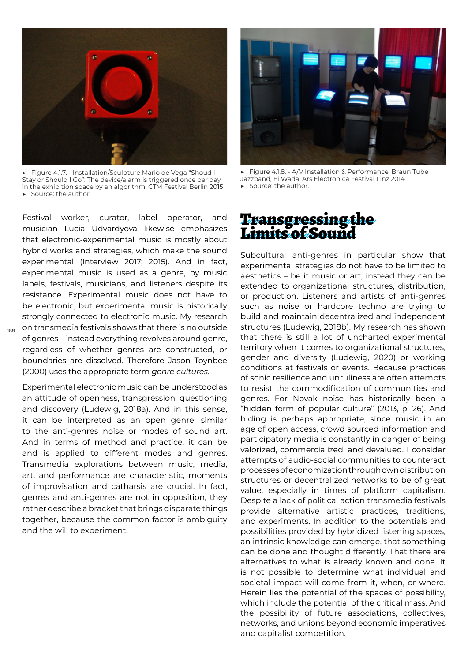

▶ Figure 4.1.7. - Installation/Sculpture Mario de Vega "Shoud I Stay or Should I Go": The device/alarm is triggered once per day in the exhibition space by an algorithm, CTM Festival Berlin 2015 Source: the author.

Festival worker, curator, label operator, and musician Lucia Udvardyova likewise emphasizes that electronic-experimental music is mostly about hybrid works and strategies, which make the sound experimental (Interview 2017; 2015). And in fact, experimental music is used as a genre, by music labels, festivals, musicians, and listeners despite its resistance. Experimental music does not have to be electronic, but experimental music is historically strongly connected to electronic music. My research on transmedia festivals shows that there is no outside of genres – instead everything revolves around genre, regardless of whether genres are constructed, or boundaries are dissolved. Therefore Jason Toynbee (2000) uses the appropriate term *genre cultures*.

188

Experimental electronic music can be understood as an attitude of openness, transgression, questioning and discovery (Ludewig, 2018a). And in this sense, it can be interpreted as an open genre, similar to the anti-genres noise or modes of sound art. And in terms of method and practice, it can be and is applied to different modes and genres. Transmedia explorations between music, media, art, and performance are characteristic, moments of improvisation and catharsis are crucial. In fact, genres and anti-genres are not in opposition, they rather describe a bracket that brings disparate things together, because the common factor is ambiguity and the will to experiment.



Figure 4.1.8. - A/V Installation & Performance, Braun Tube Jazzband, Ei Wada, Ars Electronica Festival Linz 2014 Source: the author.

#### Transgressing the Limits of Sound

Subcultural anti-genres in particular show that experimental strategies do not have to be limited to aesthetics – be it music or art, instead they can be extended to organizational structures, distribution, or production. Listeners and artists of anti-genres such as noise or hardcore techno are trying to build and maintain decentralized and independent structures (Ludewig, 2018b). My research has shown that there is still a lot of uncharted experimental territory when it comes to organizational structures, gender and diversity (Ludewig, 2020) or working conditions at festivals or events. Because practices of sonic resilience and unruliness are often attempts to resist the commodification of communities and genres. For Novak noise has historically been a "hidden form of popular culture" (2013, p. 26). And hiding is perhaps appropriate, since music in an age of open access, crowd sourced information and participatory media is constantly in danger of being valorized, commercialized, and devalued. I consider attempts of audio-social communities to counteract processes of economization through own distribution structures or decentralized networks to be of great value, especially in times of platform capitalism. Despite a lack of political action transmedia festivals provide alternative artistic practices, traditions, and experiments. In addition to the potentials and possibilities provided by hybridized listening spaces, an intrinsic knowledge can emerge, that something can be done and thought differently. That there are alternatives to what is already known and done. It is not possible to determine what individual and societal impact will come from it, when, or where. Herein lies the potential of the spaces of possibility, which include the potential of the critical mass. And the possibility of future associations, collectives, networks, and unions beyond economic imperatives and capitalist competition.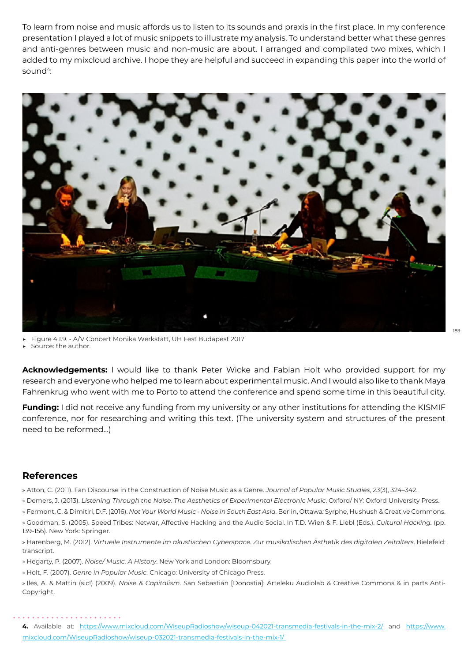To learn from noise and music affords us to listen to its sounds and praxis in the first place. In my conference presentation I played a lot of music snippets to illustrate my analysis. To understand better what these genres and anti-genres between music and non-music are about. I arranged and compilated two mixes, which I added to my mixcloud archive. I hope they are helpful and succeed in expanding this paper into the world of sound4:



Figure 4.1.9. - A/V Concert Monika Werkstatt, UH Fest Budapest 2017

Source: the author.

**Acknowledgements:** I would like to thank Peter Wicke and Fabian Holt who provided support for my research and everyone who helped me to learn about experimental music. And I would also like to thank Maya Fahrenkrug who went with me to Porto to attend the conference and spend some time in this beautiful city.

**Funding:** I did not receive any funding from my university or any other institutions for attending the KISMIF conference, nor for researching and writing this text. (The university system and structures of the present need to be reformed…)

#### **References**

» Atton, C. (2011). Fan Discourse in the Construction of Noise Music as a Genre. *Journal of Popular Music Studies*, *23*(3), 324–342.

- » Demers, J. (2013). *Listening Through the Noise. The Aesth*et*ics of Experimental Electronic Music*. Oxford/ NY: Oxford University Press.
- » Fermont, C. & Dimitiri, D.F. (2016). *Not Your World Music Noise in South East Asia*. Berlin, Ottawa: Syrphe, Hushush & Creative Commons.

» Goodman, S. (2005). Speed Tribes: Netwar, Affective Hacking and the Audio Social. In T.D. Wien & F. Liebl (Eds.). *Cultural Hacking.* (pp. 139-156). New York: Springer.

» Harenberg, M. (2012). *Virtuelle Instrumente im akustischen Cyberspace. Zur musikalischen Ästh*et*ik des digitalen Zeitalters*. Bielefeld: transcript.

- » Hegarty, P. (2007). *Noise/ Music. A History*. New York and London: Bloomsbury.
- » Holt, F. (2007). *Genre in Popular Music.* Chicago: University of Chicago Press.

» Iles, A. & Mattin (sic!) (2009). *Noise & Capitalism*. San Sebastián [Donostia]: Arteleku Audiolab & Creative Commons & in parts Anti-Copyright.

**4.** Available at: <https://www.mixcloud.com/WiseupRadioshow/wiseup-042021-transmedia-festivals-in-the-mix-2/> and [https://www.](https://www.mixcloud.com/WiseupRadioshow/wiseup-032021-transmedia-festivals-in-the-mix-1/) [mixcloud.com/WiseupRadioshow/wiseup-032021-transmedia-festivals-in-the-mix-1/](https://www.mixcloud.com/WiseupRadioshow/wiseup-032021-transmedia-festivals-in-the-mix-1/)